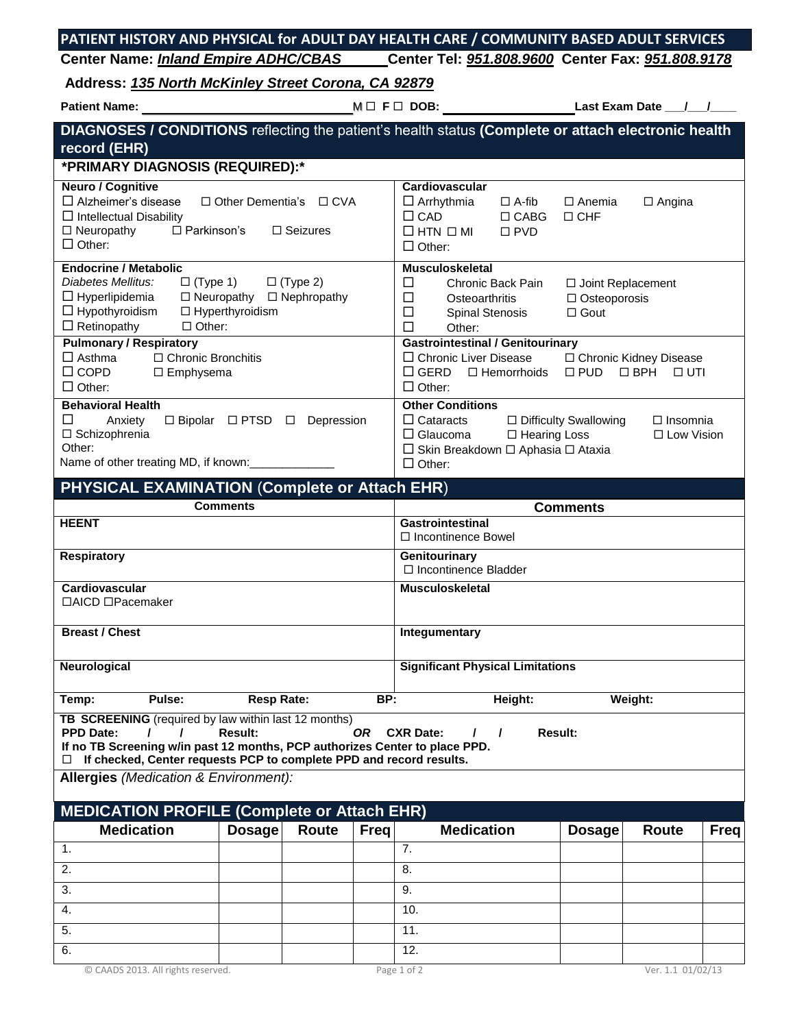| PATIENT HISTORY AND PHYSICAL for ADULT DAY HEALTH CARE / COMMUNITY BASED ADULT SERVICES |                                                   |  |
|-----------------------------------------------------------------------------------------|---------------------------------------------------|--|
| <b>Center Name: Inland Empire ADHC/CBAS</b>                                             | Center Tel: 951.808.9600 Center Fax: 951.808.9178 |  |
| $\blacksquare$                                                                          |                                                   |  |

**Address:** *135 North McKinley Street Corona, CA 92879*

**Patient Name:** <sup>M</sup> **F DOB: Last Exam Date \_\_\_/\_\_\_/\_\_\_\_**

| DIAGNOSES / CONDITIONS reflecting the patient's health status (Complete or attach electronic health<br>record (EHR)                                                                                                                                                                                      |                                                           |                                  |                                         |                                                                                                                                                                |                                              |                             |                                         |      |
|----------------------------------------------------------------------------------------------------------------------------------------------------------------------------------------------------------------------------------------------------------------------------------------------------------|-----------------------------------------------------------|----------------------------------|-----------------------------------------|----------------------------------------------------------------------------------------------------------------------------------------------------------------|----------------------------------------------|-----------------------------|-----------------------------------------|------|
| *PRIMARY DIAGNOSIS (REQUIRED):*                                                                                                                                                                                                                                                                          |                                                           |                                  |                                         |                                                                                                                                                                |                                              |                             |                                         |      |
| <b>Neuro / Cognitive</b><br>$\Box$ Alzheimer's disease<br>$\Box$ Intellectual Disability<br>$\Box$ Neuropathy<br>$\Box$ Parkinson's<br>$\Box$ Other:                                                                                                                                                     | $\Box$ Other Dementia's                                   | $\Box$ CVA<br>$\square$ Seizures |                                         | Cardiovascular<br>$\Box$ Arrhythmia<br>$\Box$ CAD<br>$\Box$ HTN $\Box$ MI<br>$\Box$ Other:                                                                     | $\Box$ A-fib<br>$\Box$ CABG<br>$\square$ PVD | $\Box$ Anemia<br>$\Box$ CHF | $\Box$ Angina                           |      |
| <b>Endocrine / Metabolic</b><br>Diabetes Mellitus:<br>$\Box$ (Type 1)<br>$\Box$ Hyperlipidemia<br>$\Box$ Hypothyroidism<br>$\Box$ Retinopathy<br>$\Box$ Other:                                                                                                                                           | $\Box$ (Type 2)<br>$\Box$ Neuropathy<br>□ Hyperthyroidism | $\Box$ Nephropathy               | □<br>□<br>$\Box$<br>$\Box$              | <b>Musculoskeletal</b><br>Chronic Back Pain<br>□ Joint Replacement<br>Osteoarthritis<br>$\Box$ Osteoporosis<br>$\Box$ Gout<br><b>Spinal Stenosis</b><br>Other: |                                              |                             |                                         |      |
| <b>Pulmonary / Respiratory</b><br>$\Box$ Asthma<br>□ Chronic Bronchitis<br>$\Box$ COPD<br>□ Emphysema<br>$\Box$ Other:                                                                                                                                                                                   |                                                           |                                  |                                         | <b>Gastrointestinal / Genitourinary</b><br>$\Box$ Chronic Liver Disease<br>$\square$ GERD<br>$\Box$ Other:                                                     | $\Box$ Hemorrhoids                           | $\square$ PUD               | □ Chronic Kidney Disease<br>□ BPH □ UTI |      |
| <b>Behavioral Health</b><br>$\Box$<br>Anxiety<br>□ Schizophrenia<br>Other:<br>Name of other treating MD, if known:                                                                                                                                                                                       | □ Bipolar □ PTSD □                                        | Depression                       |                                         | <b>Other Conditions</b><br>$\Box$ Cataracts<br>$\Box$ Glaucoma<br>□ Skin Breakdown □ Aphasia □ Ataxia<br>$\Box$ Other:                                         | $\Box$ Hearing Loss                          | □ Difficulty Swallowing     | $\Box$ Insomnia<br>$\Box$ Low Vision    |      |
| PHYSICAL EXAMINATION (Complete or Attach EHR)                                                                                                                                                                                                                                                            |                                                           |                                  |                                         |                                                                                                                                                                |                                              |                             |                                         |      |
|                                                                                                                                                                                                                                                                                                          | <b>Comments</b>                                           |                                  |                                         |                                                                                                                                                                |                                              | <b>Comments</b>             |                                         |      |
| <b>HEENT</b>                                                                                                                                                                                                                                                                                             |                                                           |                                  |                                         | <b>Gastrointestinal</b><br>□ Incontinence Bowel                                                                                                                |                                              |                             |                                         |      |
| <b>Respiratory</b>                                                                                                                                                                                                                                                                                       |                                                           |                                  |                                         | Genitourinary<br>$\Box$ Incontinence Bladder                                                                                                                   |                                              |                             |                                         |      |
| Cardiovascular<br>□AICD □Pacemaker                                                                                                                                                                                                                                                                       |                                                           |                                  |                                         | <b>Musculoskeletal</b>                                                                                                                                         |                                              |                             |                                         |      |
| <b>Breast / Chest</b>                                                                                                                                                                                                                                                                                    |                                                           |                                  |                                         | Integumentary                                                                                                                                                  |                                              |                             |                                         |      |
| Neurological                                                                                                                                                                                                                                                                                             |                                                           |                                  | <b>Significant Physical Limitations</b> |                                                                                                                                                                |                                              |                             |                                         |      |
| Temp:<br>Pulse:                                                                                                                                                                                                                                                                                          | <b>Resp Rate:</b>                                         |                                  | BP:                                     |                                                                                                                                                                | Height:                                      |                             | Weight:                                 |      |
| TB SCREENING (required by law within last 12 months)<br><b>PPD Date:</b><br>Result:<br>OR —<br><b>CXR Date:</b><br><b>Result:</b><br>$\prime$<br>7<br>If no TB Screening w/in past 12 months, PCP authorizes Center to place PPD.<br>If checked, Center requests PCP to complete PPD and record results. |                                                           |                                  |                                         |                                                                                                                                                                |                                              |                             |                                         |      |
| <b>Allergies</b> (Medication & Environment):                                                                                                                                                                                                                                                             |                                                           |                                  |                                         |                                                                                                                                                                |                                              |                             |                                         |      |
| <b>MEDICATION PROFILE (Complete or Attach EHR)</b>                                                                                                                                                                                                                                                       |                                                           |                                  |                                         |                                                                                                                                                                |                                              |                             |                                         |      |
| <b>Medication</b>                                                                                                                                                                                                                                                                                        | <b>Dosage</b>                                             | Route<br>Freq                    |                                         | <b>Medication</b>                                                                                                                                              |                                              | <b>Dosage</b>               | <b>Route</b>                            | Freq |
| 1.                                                                                                                                                                                                                                                                                                       |                                                           |                                  | 7.                                      |                                                                                                                                                                |                                              |                             |                                         |      |
| 2.                                                                                                                                                                                                                                                                                                       |                                                           |                                  | 8.                                      |                                                                                                                                                                |                                              |                             |                                         |      |
| 3.                                                                                                                                                                                                                                                                                                       |                                                           |                                  | 9.                                      |                                                                                                                                                                |                                              |                             |                                         |      |
| 4.                                                                                                                                                                                                                                                                                                       |                                                           |                                  | 10.                                     |                                                                                                                                                                |                                              |                             |                                         |      |
| 5.                                                                                                                                                                                                                                                                                                       |                                                           |                                  | 11.                                     |                                                                                                                                                                |                                              |                             |                                         |      |
| 6.                                                                                                                                                                                                                                                                                                       |                                                           |                                  | 12.                                     |                                                                                                                                                                |                                              |                             |                                         |      |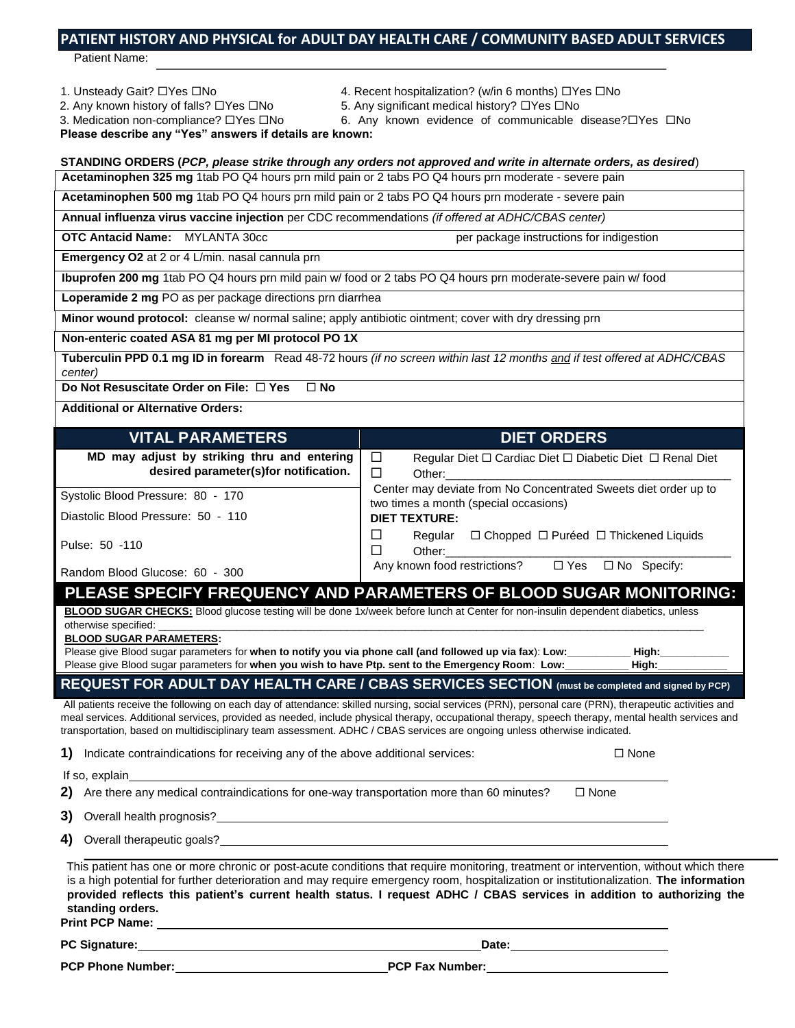## **PATIENT HISTORY AND PHYSICAL for ADULT DAY HEALTH CARE / COMMUNITY BASED ADULT SERVICES**

Patient Name:

#### 1. Unsteady Gait? Lattes Land Accent Mospitalization? (w/in 6 months) Lattes Land

- 2. Any known history of falls?  $\Box$  Yes  $\Box$  No 5. Any significant medical history?  $\Box$  Yes  $\Box$  No
- 3. Medication non-compliance?  $\Box$ Yes  $\Box$ No 6. Any known evidence of communicable disease? $\Box$ Yes  $\Box$ No
- 
- 

**Please describe any "Yes" answers if details are known:** 

- **STANDING ORDERS (***PCP, please strike through any orders not approved and write in alternate orders, as desired*)
- **Acetaminophen 325 mg** 1tab PO Q4 hours prn mild pain or 2 tabs PO Q4 hours prn moderate severe pain

**Acetaminophen 500 mg** 1tab PO Q4 hours prn mild pain or 2 tabs PO Q4 hours prn moderate - severe pain

**Annual influenza virus vaccine injection** per CDC recommendations *(if offered at ADHC/CBAS center)*

**OTC Antacid Name:** MYLANTA 30cc per package instructions for indigestion

**Emergency O2** at 2 or 4 L/min. nasal cannula prn

**Ibuprofen 200 mg** 1tab PO Q4 hours prn mild pain w/ food or 2 tabs PO Q4 hours prn moderate-severe pain w/ food

**Loperamide 2 mg** PO as per package directions prn diarrhea

**Minor wound protocol:** cleanse w/ normal saline; apply antibiotic ointment; cover with dry dressing prn

#### **Non-enteric coated ASA 81 mg per MI protocol PO 1X**

**Tuberculin PPD 0.1 mg ID in forearm** Read 48-72 hours *(if no screen within last 12 months and if test offered at ADHC/CBAS center)*

**Do Not Resuscitate Order on File: □ Yes □ No** 

**Additional or Alternative Orders:**

### **VITAL PARAMETERS DIET ORDERS**

| MD may adjust by striking thru and entering | $\Box$<br>Regular Diet $\Box$ Cardiac Diet $\Box$ Diabetic Diet $\Box$ Renal Diet                        |  |  |  |
|---------------------------------------------|----------------------------------------------------------------------------------------------------------|--|--|--|
| desired parameter(s)for notification.       | Other:                                                                                                   |  |  |  |
| Systolic Blood Pressure: 80 - 170           | Center may deviate from No Concentrated Sweets diet order up to<br>two times a month (special occasions) |  |  |  |
| Diastolic Blood Pressure: 50 - 110          | <b>DIET TEXTURE:</b>                                                                                     |  |  |  |
| Pulse: 50 -110                              | $\Box$ Chopped $\Box$ Puréed $\Box$ Thickened Liquids<br>Regular<br>Other:                               |  |  |  |
| Bandam Blood Clusses 60 200                 | Any known food restrictions?<br>$\Box$ Yes $\Box$ No Specify:                                            |  |  |  |

Random Blood Glucose: 60 - 300

**PLEASE SPECIFY FREQUENCY AND PARAMETERS OF BLOOD SUGAR MONITORING: BLOOD SUGAR CHECKS:** Blood glucose testing will be done 1x/week before lunch at Center for non-insulin dependent diabetics, unless otherwise specified:

**BLOOD SUGAR PARAMETERS:**

Please give Blood sugar parameters for **when to notify you via phone call (and followed up via fax**): **Low:\_\_\_\_\_\_\_\_\_\_\_ High:\_\_\_\_\_\_\_\_\_\_\_\_** Please give Blood sugar parameters for **when you wish to have Ptp. sent to the Emergency Room**: **Low:\_\_\_\_\_\_\_\_\_\_\_ High:\_\_\_\_\_\_\_\_\_\_\_\_**

## **REQUEST FOR ADULT DAY HEALTH CARE / CBAS SERVICES SECTION (must be completed and signed by PCP)**

All patients receive the following on each day of attendance: skilled nursing, social services (PRN), personal care (PRN), therapeutic activities and meal services. Additional services, provided as needed, include physical therapy, occupational therapy, speech therapy, mental health services and transportation, based on multidisciplinary team assessment. ADHC / CBAS services are ongoing unless otherwise indicated.

**1)** Indicate contraindications for receiving any of the above additional services:  $\square$  None

If so, explain

**2)** Are there any medical contraindications for one-way transportation more than 60 minutes?  $\square$  None

**3)** Overall health prognosis?

**4)** Overall therapeutic goals?

This patient has one or more chronic or post-acute conditions that require monitoring, treatment or intervention, without which there is a high potential for further deterioration and may require emergency room, hospitalization or institutionalization. **The information provided reflects this patient's current health status. I request ADHC / CBAS services in addition to authorizing the standing orders.**

**Print PCP Name:**

**PC Signature: Date:**

**PCP Phone Number: PCP Fax Number:**